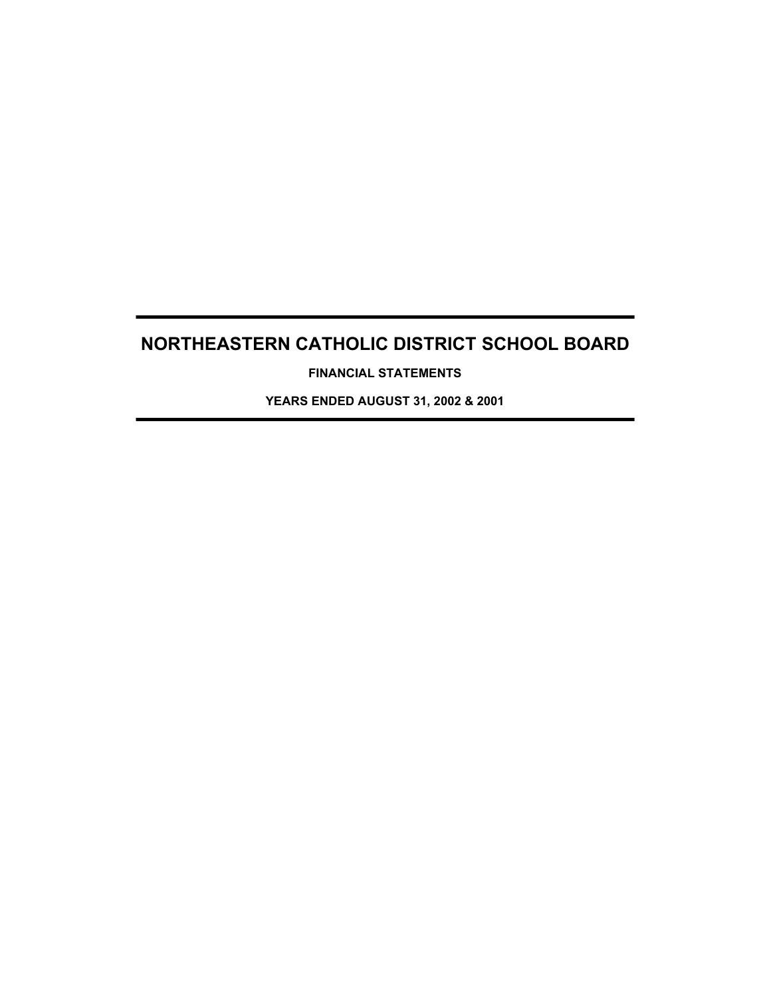**FINANCIAL STATEMENTS**

**YEARS ENDED AUGUST 31, 2002 & 2001**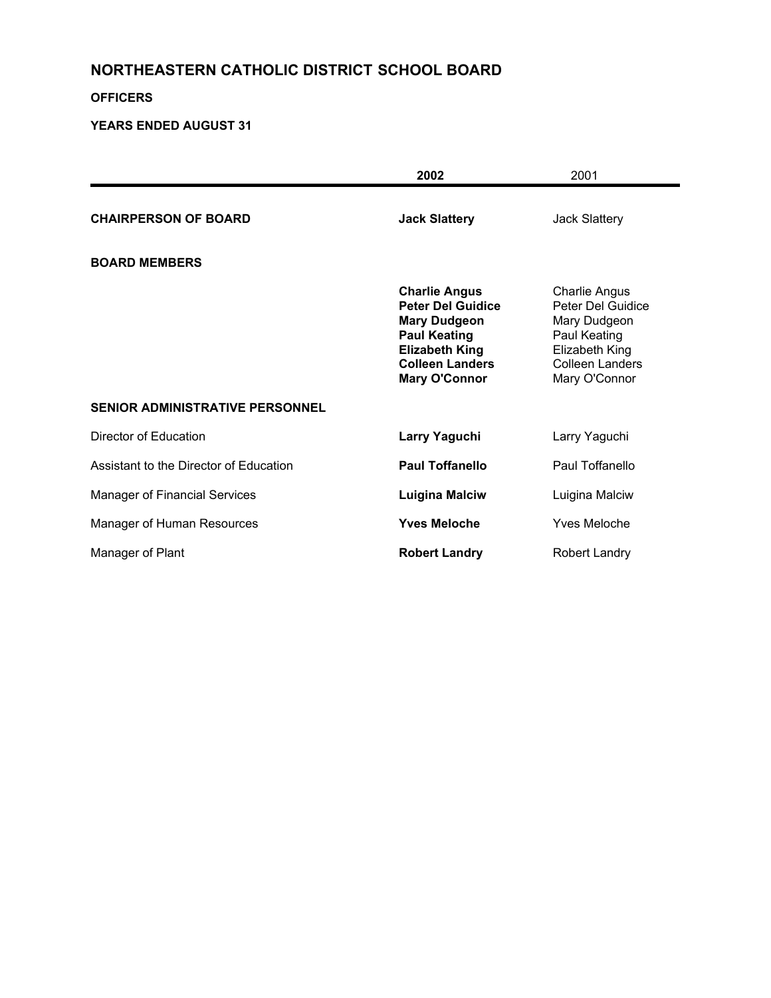#### **OFFICERS**

|                                        | 2002                                                                                                                                                                      | 2001                                                                                                                                   |
|----------------------------------------|---------------------------------------------------------------------------------------------------------------------------------------------------------------------------|----------------------------------------------------------------------------------------------------------------------------------------|
| <b>CHAIRPERSON OF BOARD</b>            | <b>Jack Slattery</b>                                                                                                                                                      | <b>Jack Slattery</b>                                                                                                                   |
| <b>BOARD MEMBERS</b>                   |                                                                                                                                                                           |                                                                                                                                        |
|                                        | <b>Charlie Angus</b><br><b>Peter Del Guidice</b><br><b>Mary Dudgeon</b><br><b>Paul Keating</b><br><b>Elizabeth King</b><br><b>Colleen Landers</b><br><b>Mary O'Connor</b> | <b>Charlie Angus</b><br>Peter Del Guidice<br>Mary Dudgeon<br>Paul Keating<br>Elizabeth King<br><b>Colleen Landers</b><br>Mary O'Connor |
| <b>SENIOR ADMINISTRATIVE PERSONNEL</b> |                                                                                                                                                                           |                                                                                                                                        |
| Director of Education                  | Larry Yaguchi                                                                                                                                                             | Larry Yaguchi                                                                                                                          |
| Assistant to the Director of Education | <b>Paul Toffanello</b>                                                                                                                                                    | Paul Toffanello                                                                                                                        |
| <b>Manager of Financial Services</b>   | <b>Luigina Malciw</b>                                                                                                                                                     | Luigina Malciw                                                                                                                         |
| Manager of Human Resources             | <b>Yves Meloche</b>                                                                                                                                                       | <b>Yves Meloche</b>                                                                                                                    |
| Manager of Plant                       | <b>Robert Landry</b>                                                                                                                                                      | <b>Robert Landry</b>                                                                                                                   |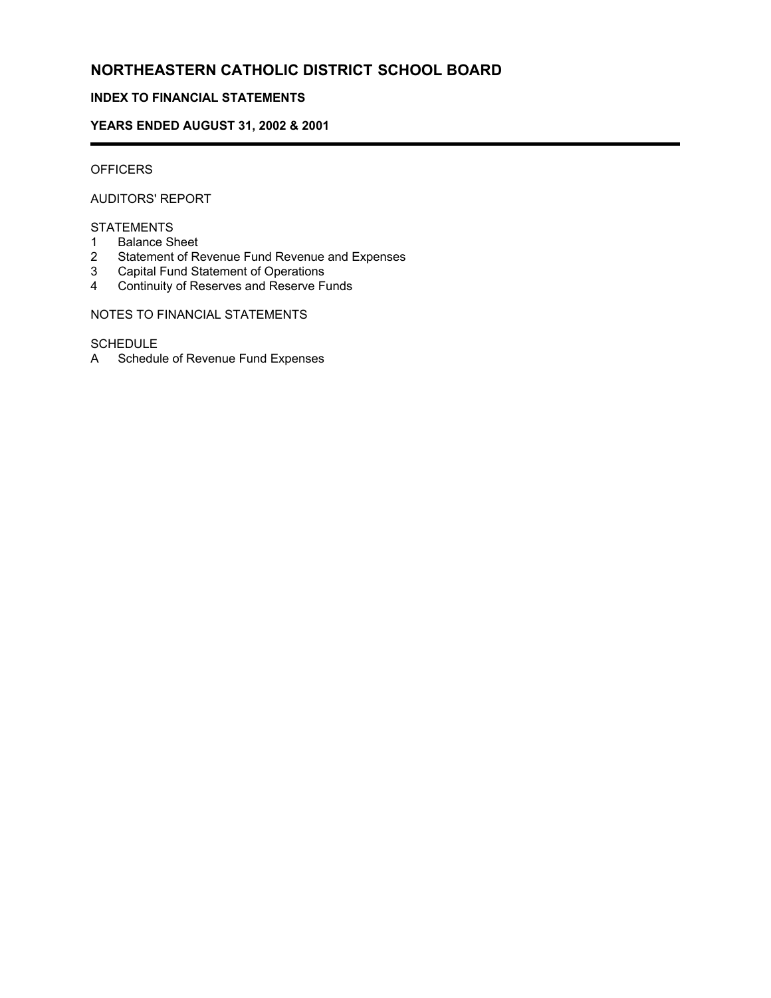#### **INDEX TO FINANCIAL STATEMENTS**

#### **YEARS ENDED AUGUST 31, 2002 & 2001**

#### **OFFICERS**

í

AUDITORS' REPORT

#### STATEMENTS

- 1 Balance Sheet
- 2 Statement of Revenue Fund Revenue and Expenses
- 3 Capital Fund Statement of Operations
- 4 Continuity of Reserves and Reserve Funds

#### NOTES TO FINANCIAL STATEMENTS

#### SCHEDULE

A Schedule of Revenue Fund Expenses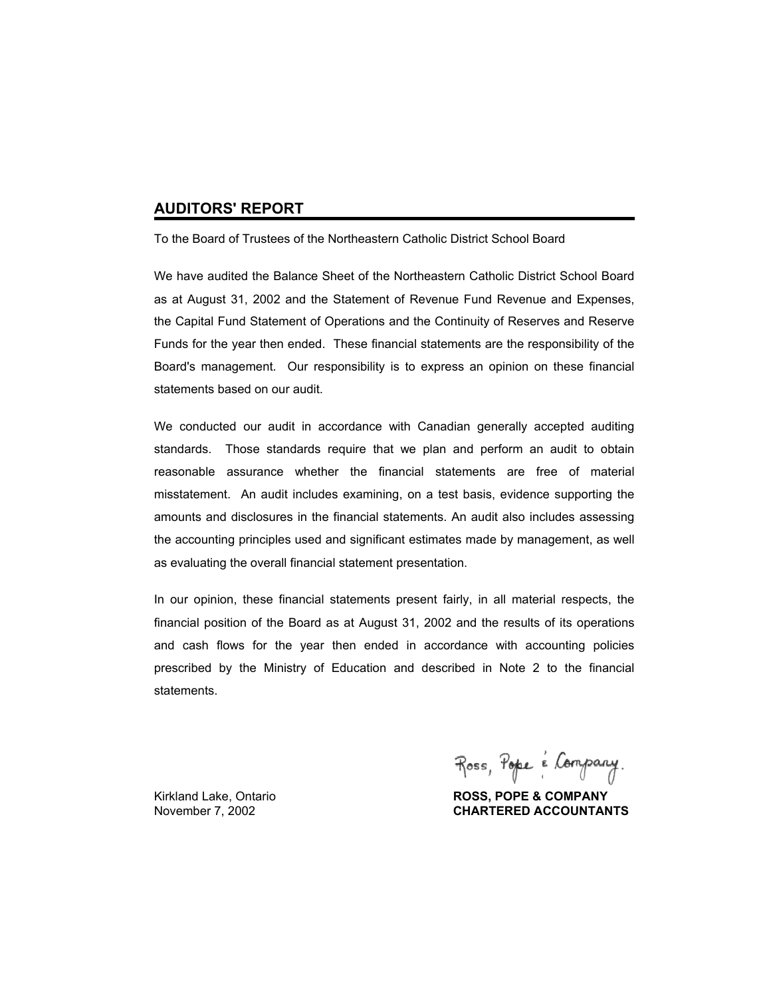#### **AUDITORS' REPORT**

To the Board of Trustees of the Northeastern Catholic District School Board

We have audited the Balance Sheet of the Northeastern Catholic District School Board as at August 31, 2002 and the Statement of Revenue Fund Revenue and Expenses, the Capital Fund Statement of Operations and the Continuity of Reserves and Reserve Funds for the year then ended. These financial statements are the responsibility of the Board's management. Our responsibility is to express an opinion on these financial statements based on our audit.

We conducted our audit in accordance with Canadian generally accepted auditing standards. Those standards require that we plan and perform an audit to obtain reasonable assurance whether the financial statements are free of material misstatement. An audit includes examining, on a test basis, evidence supporting the amounts and disclosures in the financial statements. An audit also includes assessing the accounting principles used and significant estimates made by management, as well as evaluating the overall financial statement presentation.

In our opinion, these financial statements present fairly, in all material respects, the financial position of the Board as at August 31, 2002 and the results of its operations and cash flows for the year then ended in accordance with accounting policies prescribed by the Ministry of Education and described in Note 2 to the financial statements.

Ross, Pope é Company.

Kirkland Lake, Ontario **ROSS, POPE & COMPANY** November 7, 2002 **CHARTERED ACCOUNTANTS**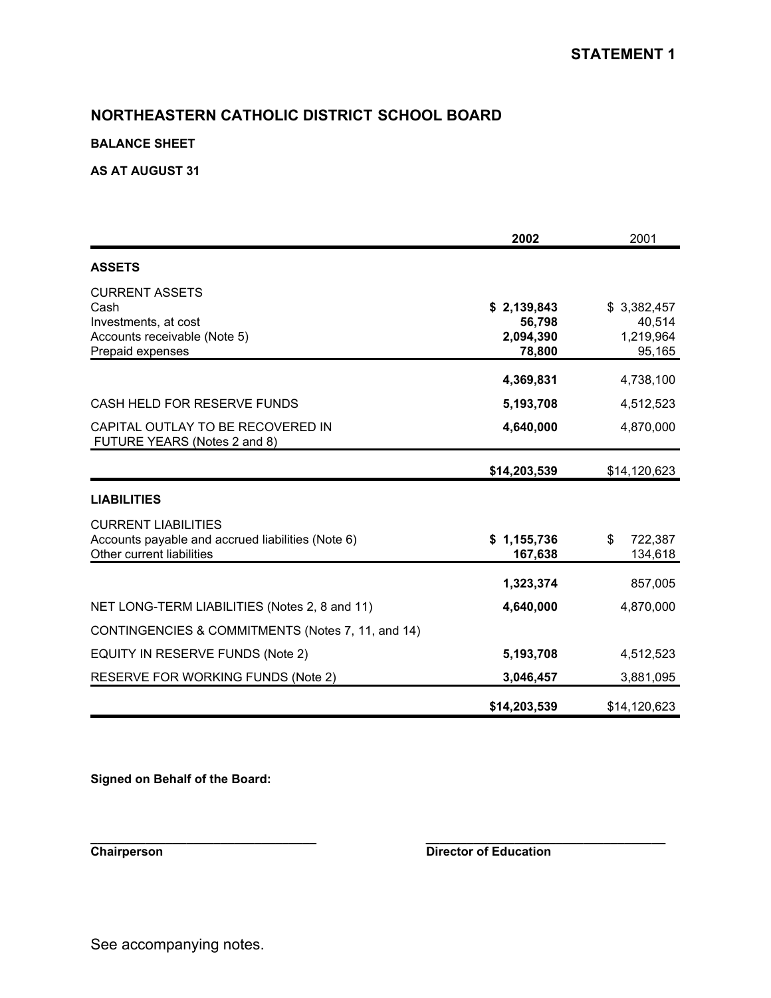#### **BALANCE SHEET**

#### **AS AT AUGUST 31**

|                                                                                                              | 2002                                         | 2001                                         |
|--------------------------------------------------------------------------------------------------------------|----------------------------------------------|----------------------------------------------|
| <b>ASSETS</b>                                                                                                |                                              |                                              |
| <b>CURRENT ASSETS</b><br>Cash<br>Investments, at cost<br>Accounts receivable (Note 5)<br>Prepaid expenses    | \$2,139,843<br>56,798<br>2,094,390<br>78,800 | \$3,382,457<br>40,514<br>1,219,964<br>95,165 |
|                                                                                                              | 4,369,831                                    | 4,738,100                                    |
| CASH HELD FOR RESERVE FUNDS                                                                                  | 5,193,708                                    | 4,512,523                                    |
| CAPITAL OUTLAY TO BE RECOVERED IN<br>FUTURE YEARS (Notes 2 and 8)                                            | 4,640,000                                    | 4,870,000                                    |
|                                                                                                              | \$14,203,539                                 | \$14,120,623                                 |
| <b>LIABILITIES</b>                                                                                           |                                              |                                              |
| <b>CURRENT LIABILITIES</b><br>Accounts payable and accrued liabilities (Note 6)<br>Other current liabilities | \$1,155,736<br>167,638                       | \$<br>722,387<br>134,618                     |
|                                                                                                              | 1,323,374                                    | 857,005                                      |
| NET LONG-TERM LIABILITIES (Notes 2, 8 and 11)                                                                | 4,640,000                                    | 4,870,000                                    |
| CONTINGENCIES & COMMITMENTS (Notes 7, 11, and 14)                                                            |                                              |                                              |
| EQUITY IN RESERVE FUNDS (Note 2)                                                                             | 5,193,708                                    | 4,512,523                                    |
| <b>RESERVE FOR WORKING FUNDS (Note 2)</b>                                                                    | 3,046,457                                    | 3,881,095                                    |
|                                                                                                              | \$14,203,539                                 | \$14,120,623                                 |

**\_\_\_\_\_\_\_\_\_\_\_\_\_\_\_\_\_\_\_\_\_\_\_\_\_\_\_\_\_\_\_\_\_ \_\_\_\_\_\_\_\_\_\_\_\_\_\_\_\_\_\_\_\_\_\_\_\_\_\_\_\_\_\_\_\_\_\_\_**

**Signed on Behalf of the Board:**

**Chairperson Director of Education**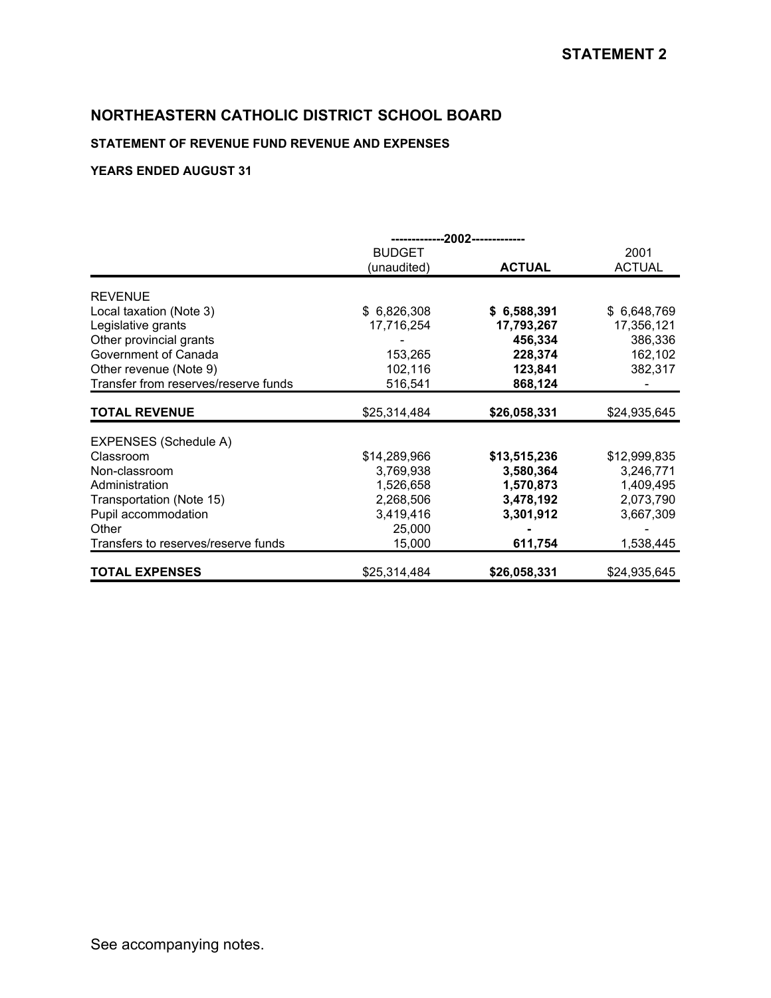### **STATEMENT OF REVENUE FUND REVENUE AND EXPENSES**

|                                      | --2002-------------- |               |               |
|--------------------------------------|----------------------|---------------|---------------|
|                                      | <b>BUDGET</b>        |               | 2001          |
|                                      | (unaudited)          | <b>ACTUAL</b> | <b>ACTUAL</b> |
|                                      |                      |               |               |
| <b>REVENUE</b>                       |                      |               |               |
| Local taxation (Note 3)              | \$6,826,308          | \$6,588,391   | \$ 6,648,769  |
| Legislative grants                   | 17,716,254           | 17,793,267    | 17,356,121    |
| Other provincial grants              |                      | 456,334       | 386,336       |
| Government of Canada                 | 153,265              | 228,374       | 162,102       |
| Other revenue (Note 9)               | 102,116              | 123,841       | 382,317       |
| Transfer from reserves/reserve funds | 516,541              | 868,124       |               |
| <b>TOTAL REVENUE</b>                 | \$25,314,484         | \$26,058,331  | \$24,935,645  |
| EXPENSES (Schedule A)                |                      |               |               |
| Classroom                            | \$14,289,966         | \$13,515,236  | \$12,999,835  |
| Non-classroom                        | 3,769,938            | 3,580,364     | 3,246,771     |
|                                      |                      |               |               |
| Administration                       | 1,526,658            | 1,570,873     | 1,409,495     |
| Transportation (Note 15)             | 2,268,506            | 3,478,192     | 2,073,790     |
| Pupil accommodation                  | 3,419,416            | 3,301,912     | 3,667,309     |
| Other                                | 25,000               |               |               |
| Transfers to reserves/reserve funds  | 15,000               | 611,754       | 1,538,445     |
| <b>TOTAL EXPENSES</b>                | \$25,314,484         | \$26,058,331  | \$24,935,645  |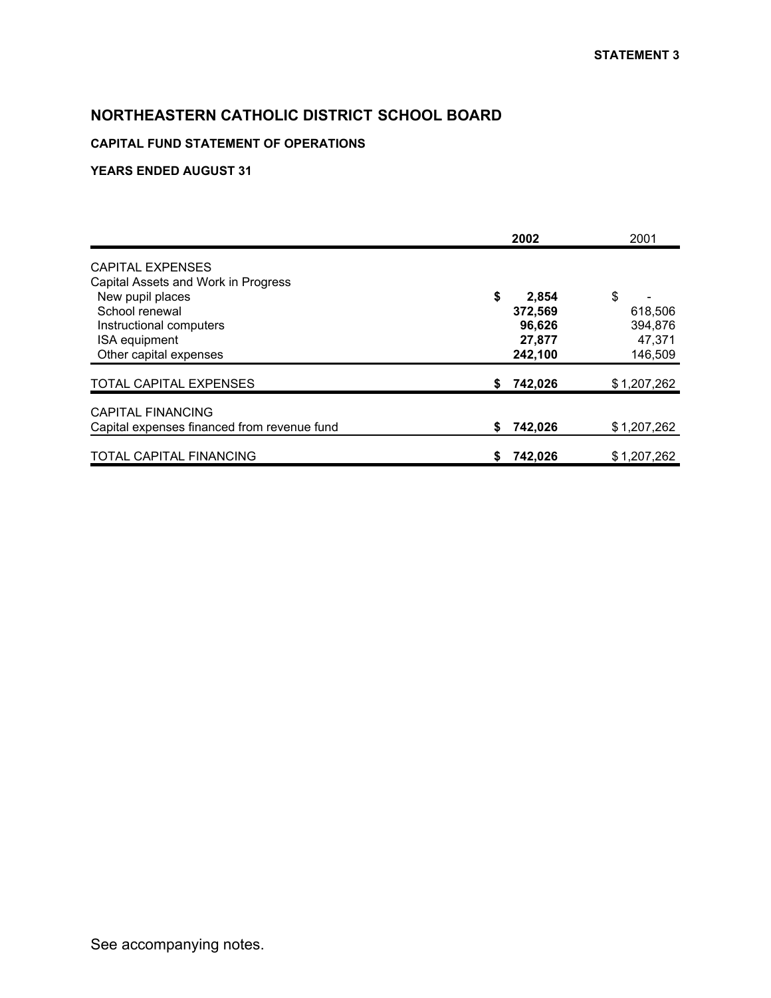### **CAPITAL FUND STATEMENT OF OPERATIONS**

|                                             |    | 2002    | 2001        |
|---------------------------------------------|----|---------|-------------|
| <b>CAPITAL EXPENSES</b>                     |    |         |             |
| Capital Assets and Work in Progress         |    |         |             |
| New pupil places                            | \$ | 2,854   | \$          |
| School renewal                              |    | 372,569 | 618,506     |
| Instructional computers                     |    | 96,626  | 394,876     |
| ISA equipment                               |    | 27,877  | 47,371      |
| Other capital expenses                      |    | 242,100 | 146,509     |
| TOTAL CAPITAL EXPENSES                      | S  | 742,026 | \$1,207,262 |
| <b>CAPITAL FINANCING</b>                    |    |         |             |
| Capital expenses financed from revenue fund | \$ | 742,026 | \$1,207,262 |
| TOTAL CAPITAL FINANCING                     | \$ | 742,026 | \$1,207,262 |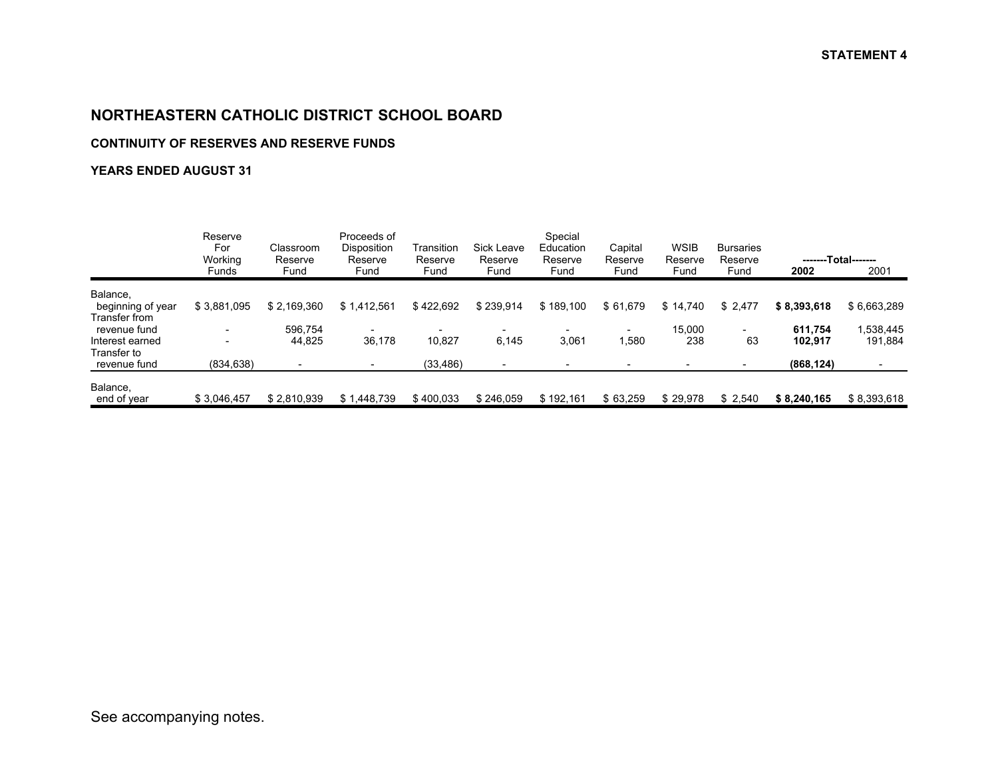#### **CONTINUITY OF RESERVES AND RESERVE FUNDS**

|                                                  | Reserve<br>For<br>Working | Classroom<br>Reserve | Proceeds of<br>Disposition<br>Reserve | Transition<br>Reserve | Sick Leave<br>Reserve | Special<br>Education<br>Reserve | Capital<br>Reserve | <b>WSIB</b><br>Reserve | <b>Bursaries</b><br>Reserve |                    | -------Total------- |
|--------------------------------------------------|---------------------------|----------------------|---------------------------------------|-----------------------|-----------------------|---------------------------------|--------------------|------------------------|-----------------------------|--------------------|---------------------|
|                                                  | <b>Funds</b>              | Fund                 | Fund                                  | Fund                  | Fund                  | Fund                            | Fund               | Fund                   | Fund                        | 2002               | 2001                |
| Balance,<br>beginning of year                    | \$3,881,095               | \$2.169.360          | \$1.412.561                           | \$422.692             | \$239.914             | \$189,100                       | \$61,679           | \$14.740               | \$2,477                     | \$8,393,618        | \$6,663,289         |
| Transfer from<br>revenue fund<br>Interest earned |                           | 596,754<br>44,825    | 36,178                                | 10,827                | 6,145                 | 3,061                           | 1,580              | 15,000<br>238          | 63                          | 611.754<br>102.917 | ,538,445<br>191,884 |
| Transfer to<br>revenue fund                      | (834, 638)                |                      |                                       | (33, 486)             |                       |                                 |                    |                        |                             | (868, 124)         |                     |
| Balance,<br>end of year                          | \$3.046.457               | \$2,810,939          | \$1.448.739                           | \$400,033             | \$246,059             | \$192.161                       | \$63,259           | \$29,978               | \$2,540                     | \$8,240,165        | \$8,393,618         |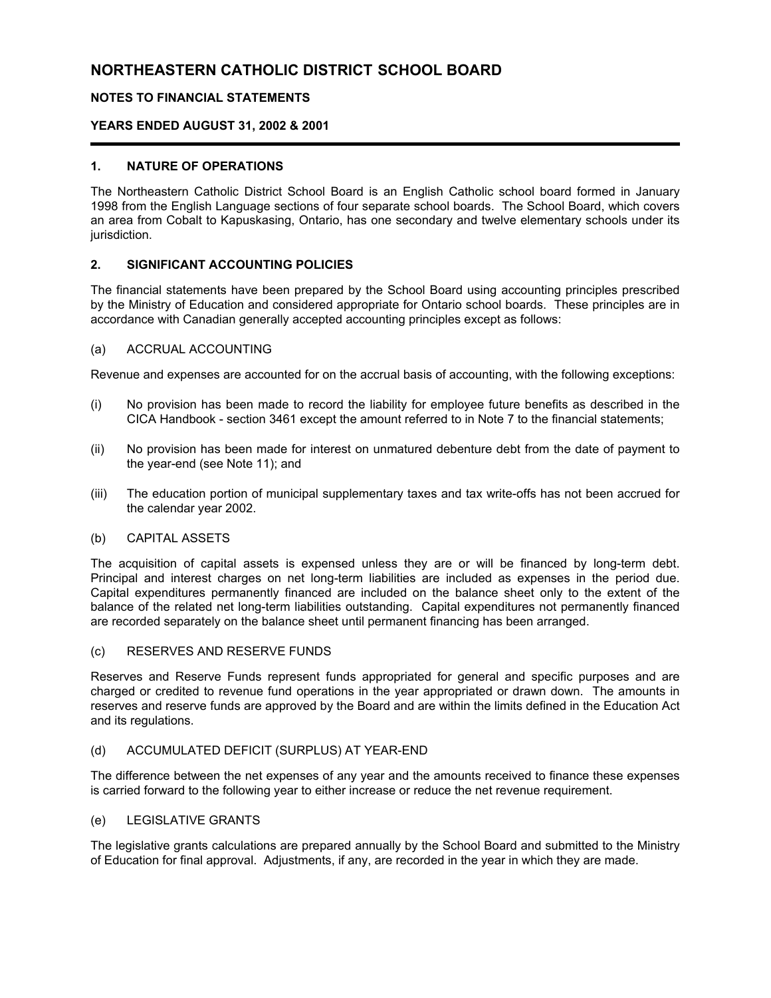#### **NOTES TO FINANCIAL STATEMENTS**

#### **YEARS ENDED AUGUST 31, 2002 & 2001**

#### **1. NATURE OF OPERATIONS**

The Northeastern Catholic District School Board is an English Catholic school board formed in January 1998 from the English Language sections of four separate school boards. The School Board, which covers an area from Cobalt to Kapuskasing, Ontario, has one secondary and twelve elementary schools under its jurisdiction.

#### **2. SIGNIFICANT ACCOUNTING POLICIES**

The financial statements have been prepared by the School Board using accounting principles prescribed by the Ministry of Education and considered appropriate for Ontario school boards. These principles are in accordance with Canadian generally accepted accounting principles except as follows:

#### (a) ACCRUAL ACCOUNTING

Revenue and expenses are accounted for on the accrual basis of accounting, with the following exceptions:

- (i) No provision has been made to record the liability for employee future benefits as described in the CICA Handbook - section 3461 except the amount referred to in Note 7 to the financial statements;
- (ii) No provision has been made for interest on unmatured debenture debt from the date of payment to the year-end (see Note 11); and
- (iii) The education portion of municipal supplementary taxes and tax write-offs has not been accrued for the calendar year 2002.

#### (b) CAPITAL ASSETS

The acquisition of capital assets is expensed unless they are or will be financed by long-term debt. Principal and interest charges on net long-term liabilities are included as expenses in the period due. Capital expenditures permanently financed are included on the balance sheet only to the extent of the balance of the related net long-term liabilities outstanding. Capital expenditures not permanently financed are recorded separately on the balance sheet until permanent financing has been arranged.

#### (c) RESERVES AND RESERVE FUNDS

Reserves and Reserve Funds represent funds appropriated for general and specific purposes and are charged or credited to revenue fund operations in the year appropriated or drawn down. The amounts in reserves and reserve funds are approved by the Board and are within the limits defined in the Education Act and its regulations.

#### (d) ACCUMULATED DEFICIT (SURPLUS) AT YEAR-END

The difference between the net expenses of any year and the amounts received to finance these expenses is carried forward to the following year to either increase or reduce the net revenue requirement.

#### (e) LEGISLATIVE GRANTS

The legislative grants calculations are prepared annually by the School Board and submitted to the Ministry of Education for final approval. Adjustments, if any, are recorded in the year in which they are made.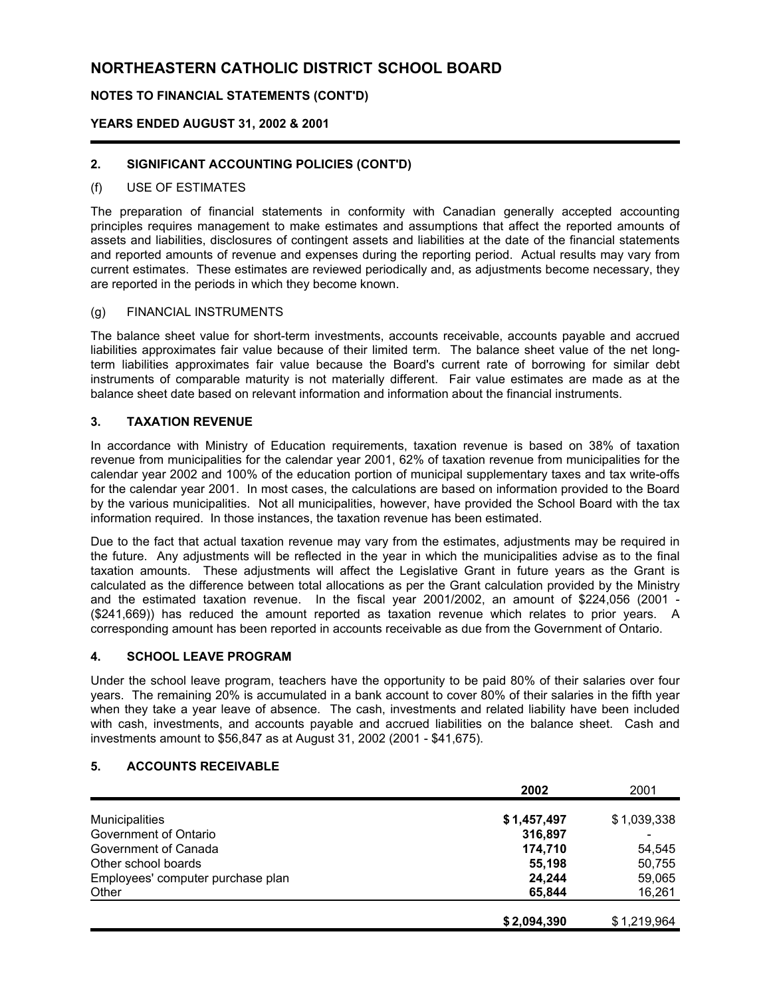#### **NOTES TO FINANCIAL STATEMENTS (CONT'D)**

#### **YEARS ENDED AUGUST 31, 2002 & 2001**

#### **2. SIGNIFICANT ACCOUNTING POLICIES (CONT'D)**

#### (f) USE OF ESTIMATES

The preparation of financial statements in conformity with Canadian generally accepted accounting principles requires management to make estimates and assumptions that affect the reported amounts of assets and liabilities, disclosures of contingent assets and liabilities at the date of the financial statements and reported amounts of revenue and expenses during the reporting period. Actual results may vary from current estimates. These estimates are reviewed periodically and, as adjustments become necessary, they are reported in the periods in which they become known.

#### (g) FINANCIAL INSTRUMENTS

The balance sheet value for short-term investments, accounts receivable, accounts payable and accrued liabilities approximates fair value because of their limited term. The balance sheet value of the net longterm liabilities approximates fair value because the Board's current rate of borrowing for similar debt instruments of comparable maturity is not materially different. Fair value estimates are made as at the balance sheet date based on relevant information and information about the financial instruments.

#### **3. TAXATION REVENUE**

In accordance with Ministry of Education requirements, taxation revenue is based on 38% of taxation revenue from municipalities for the calendar year 2001, 62% of taxation revenue from municipalities for the calendar year 2002 and 100% of the education portion of municipal supplementary taxes and tax write-offs for the calendar year 2001. In most cases, the calculations are based on information provided to the Board by the various municipalities. Not all municipalities, however, have provided the School Board with the tax information required. In those instances, the taxation revenue has been estimated.

Due to the fact that actual taxation revenue may vary from the estimates, adjustments may be required in the future. Any adjustments will be reflected in the year in which the municipalities advise as to the final taxation amounts. These adjustments will affect the Legislative Grant in future years as the Grant is calculated as the difference between total allocations as per the Grant calculation provided by the Ministry and the estimated taxation revenue. In the fiscal year 2001/2002, an amount of \$224,056 (2001 - (\$241,669)) has reduced the amount reported as taxation revenue which relates to prior years. A corresponding amount has been reported in accounts receivable as due from the Government of Ontario.

#### **4. SCHOOL LEAVE PROGRAM**

Under the school leave program, teachers have the opportunity to be paid 80% of their salaries over four years. The remaining 20% is accumulated in a bank account to cover 80% of their salaries in the fifth year when they take a year leave of absence. The cash, investments and related liability have been included with cash, investments, and accounts payable and accrued liabilities on the balance sheet. Cash and investments amount to \$56,847 as at August 31, 2002 (2001 - \$41,675).

#### **5. ACCOUNTS RECEIVABLE**

|                                   | 2002        | 2001        |
|-----------------------------------|-------------|-------------|
| <b>Municipalities</b>             | \$1,457,497 | \$1,039,338 |
| Government of Ontario             | 316,897     |             |
| Government of Canada              | 174,710     | 54.545      |
| Other school boards               | 55,198      | 50,755      |
| Employees' computer purchase plan | 24,244      | 59,065      |
| Other                             | 65,844      | 16,261      |
|                                   |             |             |
|                                   | \$2,094,390 | \$1,219,964 |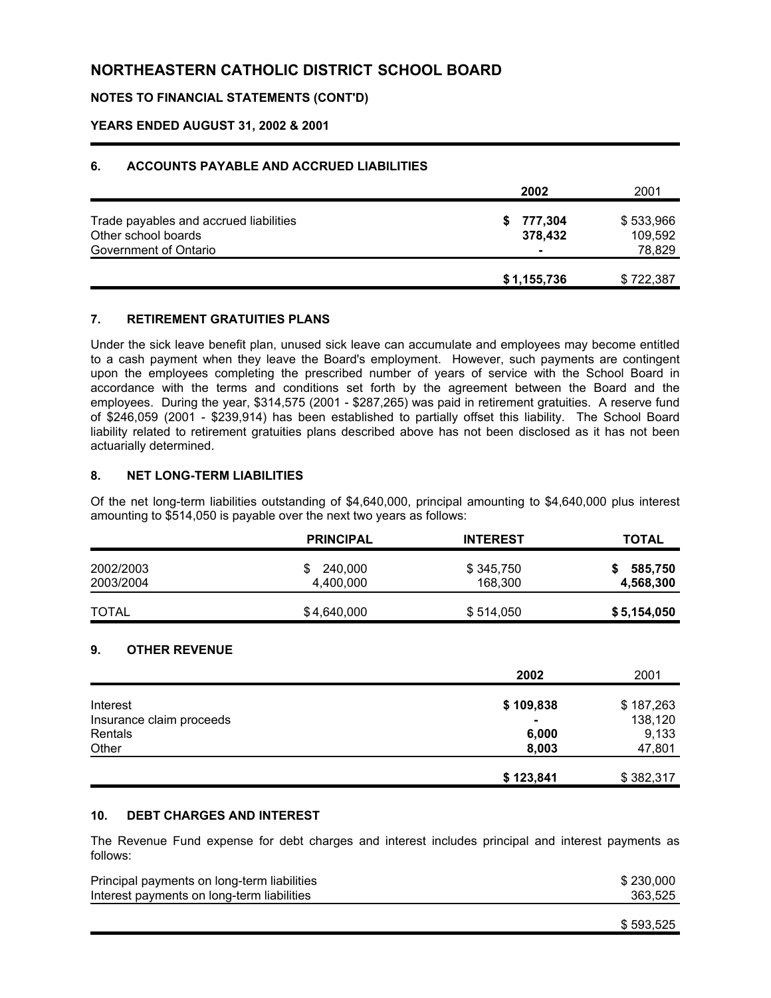#### **NOTES TO FINANCIAL STATEMENTS (CONT'D)**

#### **YEARS ENDED AUGUST 31, 2002 & 2001**

#### **6. ACCOUNTS PAYABLE AND ACCRUED LIABILITIES**

|                                                                                        | 2002                                       | 2001                           |
|----------------------------------------------------------------------------------------|--------------------------------------------|--------------------------------|
| Trade payables and accrued liabilities<br>Other school boards<br>Government of Ontario | 777,304<br>S.<br>378,432<br>$\blacksquare$ | \$533,966<br>109,592<br>78,829 |
|                                                                                        | \$1,155,736                                | \$722,387                      |

#### **7. RETIREMENT GRATUITIES PLANS**

Under the sick leave benefit plan, unused sick leave can accumulate and employees may become entitled to a cash payment when they leave the Board's employment. However, such payments are contingent upon the employees completing the prescribed number of years of service with the School Board in accordance with the terms and conditions set forth by the agreement between the Board and the employees. During the year, \$314,575 (2001 - \$287,265) was paid in retirement gratuities. A reserve fund of \$246,059 (2001 - \$239,914) has been established to partially offset this liability. The School Board liability related to retirement gratuities plans described above has not been disclosed as it has not been actuarially determined.

#### **8. NET LONG-TERM LIABILITIES**

Of the net long-term liabilities outstanding of \$4,640,000, principal amounting to \$4,640,000 plus interest amounting to \$514,050 is payable over the next two years as follows:

|                        | <b>PRINCIPAL</b>     | <b>INTEREST</b>      | <b>TOTAL</b>         |
|------------------------|----------------------|----------------------|----------------------|
| 2002/2003<br>2003/2004 | 240,000<br>4,400,000 | \$345,750<br>168,300 | 585,750<br>4,568,300 |
| <b>TOTAL</b>           | \$4,640,000          | \$514,050            | \$5,154,050          |

#### **9. OTHER REVENUE**

|                          | 2002           | 2001      |
|--------------------------|----------------|-----------|
| Interest                 | \$109,838      | \$187,263 |
| Insurance claim proceeds | $\blacksquare$ | 138,120   |
| Rentals                  | 6,000          | 9,133     |
| Other                    | 8,003          | 47,801    |
|                          | \$123,841      | \$382,317 |

#### **10. DEBT CHARGES AND INTEREST**

The Revenue Fund expense for debt charges and interest includes principal and interest payments as follows:

| Principal payments on long-term liabilities | \$230,000 |
|---------------------------------------------|-----------|
| Interest payments on long-term liabilities  | 363.525   |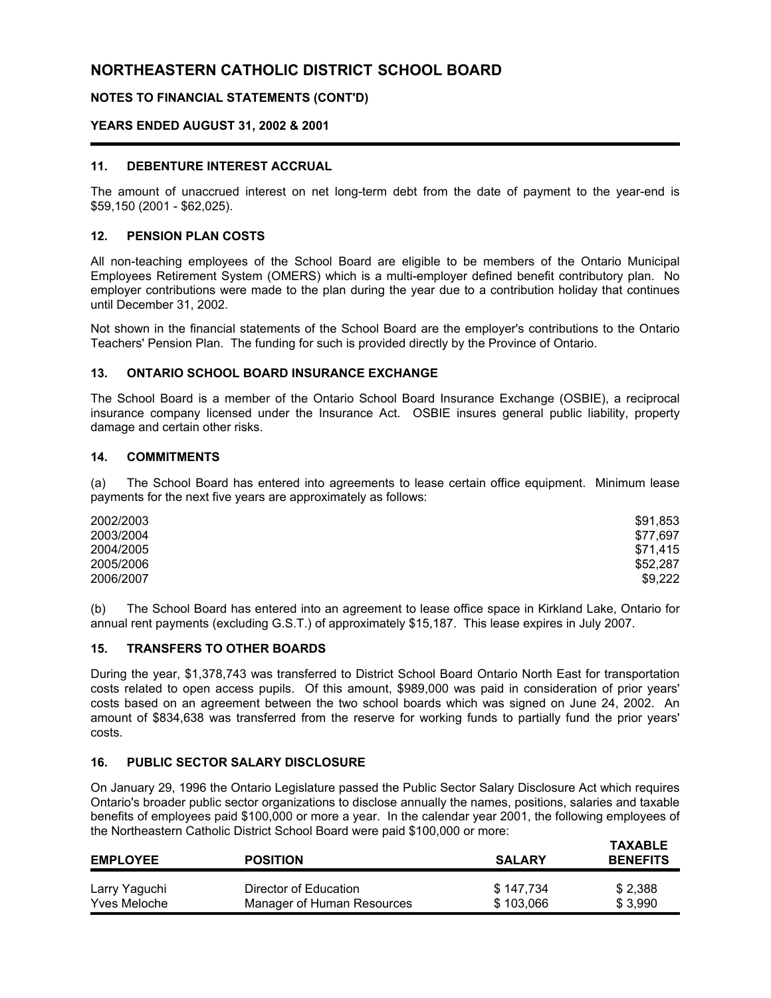#### **NOTES TO FINANCIAL STATEMENTS (CONT'D)**

#### **YEARS ENDED AUGUST 31, 2002 & 2001**

#### **11. DEBENTURE INTEREST ACCRUAL**

The amount of unaccrued interest on net long-term debt from the date of payment to the year-end is \$59,150 (2001 - \$62,025).

#### **12. PENSION PLAN COSTS**

All non-teaching employees of the School Board are eligible to be members of the Ontario Municipal Employees Retirement System (OMERS) which is a multi-employer defined benefit contributory plan. No employer contributions were made to the plan during the year due to a contribution holiday that continues until December 31, 2002.

Not shown in the financial statements of the School Board are the employer's contributions to the Ontario Teachers' Pension Plan. The funding for such is provided directly by the Province of Ontario.

#### **13. ONTARIO SCHOOL BOARD INSURANCE EXCHANGE**

The School Board is a member of the Ontario School Board Insurance Exchange (OSBIE), a reciprocal insurance company licensed under the Insurance Act. OSBIE insures general public liability, property damage and certain other risks.

#### **14. COMMITMENTS**

(a) The School Board has entered into agreements to lease certain office equipment. Minimum lease payments for the next five years are approximately as follows:

| 2002/2003 | \$91,853 |
|-----------|----------|
| 2003/2004 | \$77.697 |
| 2004/2005 | \$71.415 |
| 2005/2006 | \$52,287 |
| 2006/2007 | \$9,222  |

(b) The School Board has entered into an agreement to lease office space in Kirkland Lake, Ontario for annual rent payments (excluding G.S.T.) of approximately \$15,187. This lease expires in July 2007.

#### **15. TRANSFERS TO OTHER BOARDS**

During the year, \$1,378,743 was transferred to District School Board Ontario North East for transportation costs related to open access pupils. Of this amount, \$989,000 was paid in consideration of prior years' costs based on an agreement between the two school boards which was signed on June 24, 2002. An amount of \$834,638 was transferred from the reserve for working funds to partially fund the prior years' costs.

#### **16. PUBLIC SECTOR SALARY DISCLOSURE**

On January 29, 1996 the Ontario Legislature passed the Public Sector Salary Disclosure Act which requires Ontario's broader public sector organizations to disclose annually the names, positions, salaries and taxable benefits of employees paid \$100,000 or more a year. In the calendar year 2001, the following employees of the Northeastern Catholic District School Board were paid \$100,000 or more:

| <b>EMPLOYEE</b>     | <b>POSITION</b>            | <b>SALARY</b> | <b>TAXABLE</b><br><b>BENEFITS</b> |
|---------------------|----------------------------|---------------|-----------------------------------|
| Larry Yaguchi       | Director of Education      | \$147,734     | \$2,388                           |
| <b>Yves Meloche</b> | Manager of Human Resources | \$103,066     | \$3,990                           |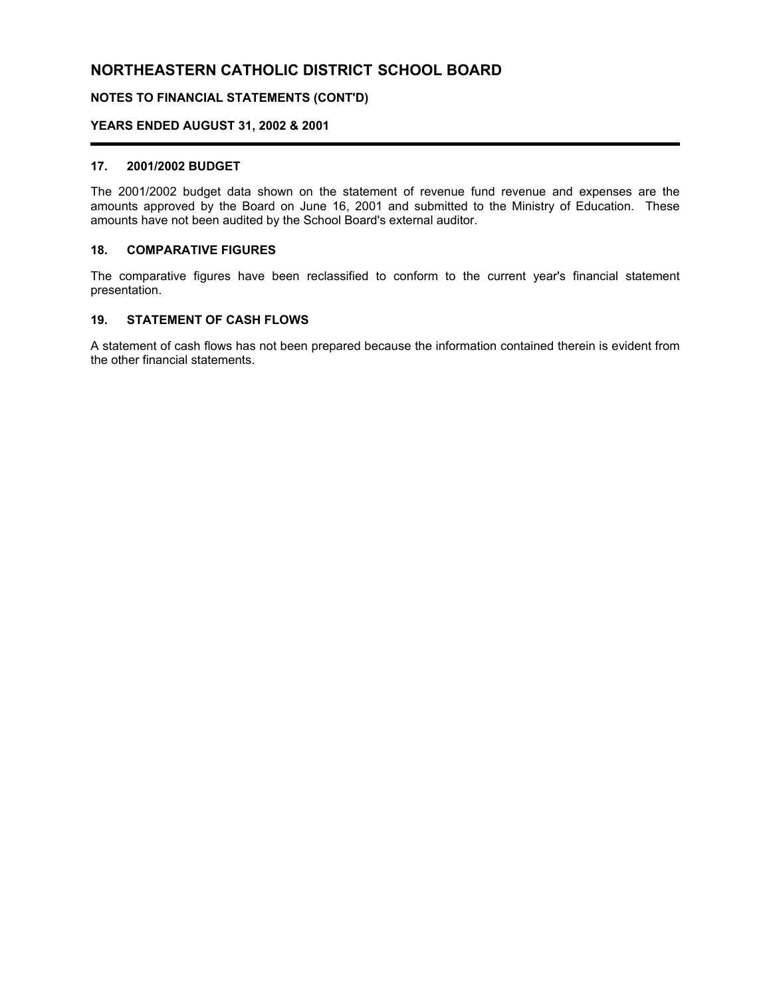#### **NOTES TO FINANCIAL STATEMENTS (CONT'D)**

#### **YEARS ENDED AUGUST 31, 2002 & 2001**

#### **17. 2001/2002 BUDGET**

The 2001/2002 budget data shown on the statement of revenue fund revenue and expenses are the amounts approved by the Board on June 16, 2001 and submitted to the Ministry of Education. These amounts have not been audited by the School Board's external auditor.

#### **18. COMPARATIVE FIGURES**

The comparative figures have been reclassified to conform to the current year's financial statement presentation.

#### **19. STATEMENT OF CASH FLOWS**

A statement of cash flows has not been prepared because the information contained therein is evident from the other financial statements.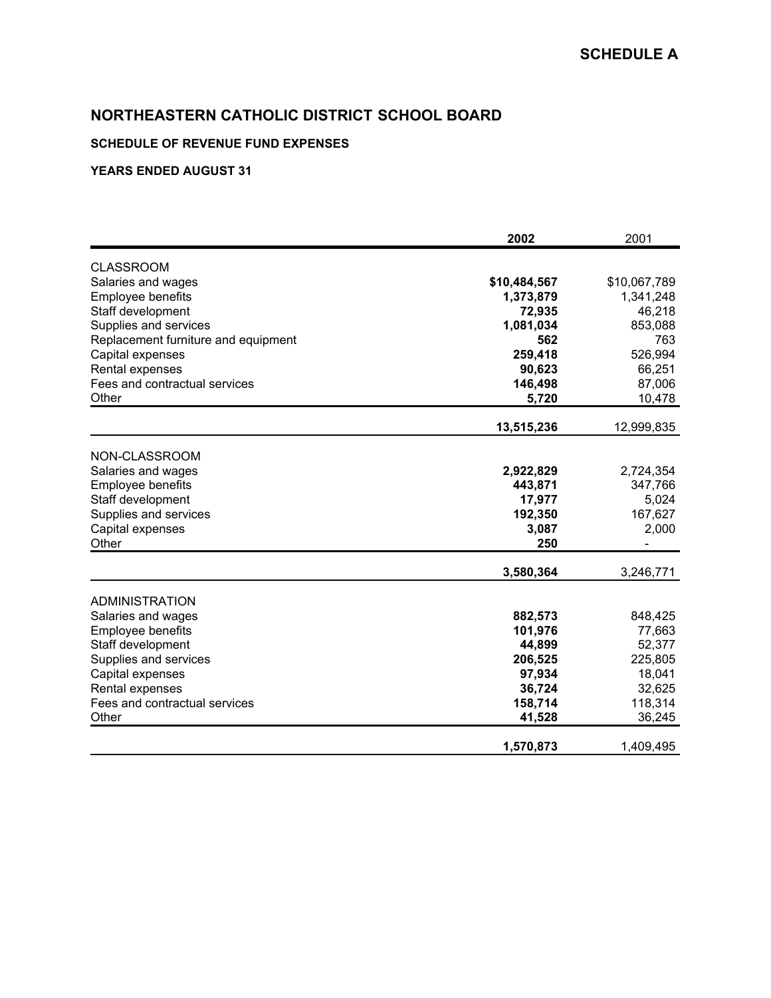### **SCHEDULE OF REVENUE FUND EXPENSES**

|                                     | 2002         | 2001         |
|-------------------------------------|--------------|--------------|
| <b>CLASSROOM</b>                    |              |              |
| Salaries and wages                  | \$10,484,567 | \$10,067,789 |
| <b>Employee benefits</b>            | 1,373,879    | 1,341,248    |
| Staff development                   | 72,935       | 46,218       |
| Supplies and services               | 1,081,034    | 853,088      |
| Replacement furniture and equipment | 562          | 763          |
| Capital expenses                    | 259,418      | 526,994      |
| Rental expenses                     | 90,623       | 66,251       |
| Fees and contractual services       | 146,498      | 87,006       |
| Other                               | 5,720        | 10,478       |
|                                     | 13,515,236   | 12,999,835   |
|                                     |              |              |
| NON-CLASSROOM                       |              |              |
| Salaries and wages                  | 2,922,829    | 2,724,354    |
| Employee benefits                   | 443,871      | 347,766      |
| Staff development                   | 17,977       | 5,024        |
| Supplies and services               | 192,350      | 167,627      |
| Capital expenses                    | 3,087        | 2,000        |
| Other                               | 250          |              |
|                                     | 3,580,364    | 3,246,771    |
| <b>ADMINISTRATION</b>               |              |              |
| Salaries and wages                  | 882,573      | 848,425      |
| Employee benefits                   | 101,976      | 77,663       |
| Staff development                   | 44,899       | 52,377       |
| Supplies and services               | 206,525      | 225,805      |
| Capital expenses                    | 97,934       | 18,041       |
| Rental expenses                     | 36,724       | 32,625       |
| Fees and contractual services       | 158,714      | 118,314      |
| Other                               | 41,528       | 36,245       |
|                                     | 1,570,873    | 1,409,495    |